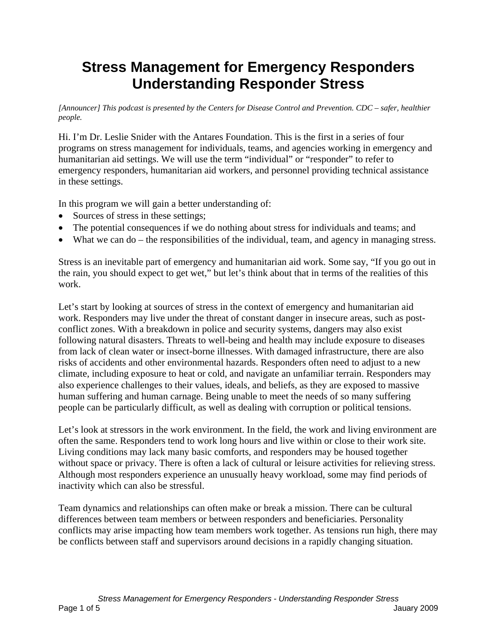## **Stress Management for Emergency Responders Understanding Responder Stress**

*[Announcer] This podcast is presented by the Centers for Disease Control and Prevention. CDC – safer, healthier people.* 

Hi. I'm Dr. Leslie Snider with the Antares Foundation. This is the first in a series of four programs on stress management for individuals, teams, and agencies working in emergency and humanitarian aid settings. We will use the term "individual" or "responder" to refer to emergency responders, humanitarian aid workers, and personnel providing technical assistance in these settings.

In this program we will gain a better understanding of:

- Sources of stress in these settings;
- The potential consequences if we do nothing about stress for individuals and teams; and
- What we can do the responsibilities of the individual, team, and agency in managing stress.

Stress is an inevitable part of emergency and humanitarian aid work. Some say, "If you go out in the rain, you should expect to get wet," but let's think about that in terms of the realities of this work.

Let's start by looking at sources of stress in the context of emergency and humanitarian aid work. Responders may live under the threat of constant danger in insecure areas, such as postconflict zones. With a breakdown in police and security systems, dangers may also exist following natural disasters. Threats to well-being and health may include exposure to diseases from lack of clean water or insect-borne illnesses. With damaged infrastructure, there are also risks of accidents and other environmental hazards. Responders often need to adjust to a new climate, including exposure to heat or cold, and navigate an unfamiliar terrain. Responders may also experience challenges to their values, ideals, and beliefs, as they are exposed to massive human suffering and human carnage. Being unable to meet the needs of so many suffering people can be particularly difficult, as well as dealing with corruption or political tensions.

Let's look at stressors in the work environment. In the field, the work and living environment are often the same. Responders tend to work long hours and live within or close to their work site. Living conditions may lack many basic comforts, and responders may be housed together without space or privacy. There is often a lack of cultural or leisure activities for relieving stress. Although most responders experience an unusually heavy workload, some may find periods of inactivity which can also be stressful.

Team dynamics and relationships can often make or break a mission. There can be cultural differences between team members or between responders and beneficiaries. Personality conflicts may arise impacting how team members work together. As tensions run high, there may be conflicts between staff and supervisors around decisions in a rapidly changing situation.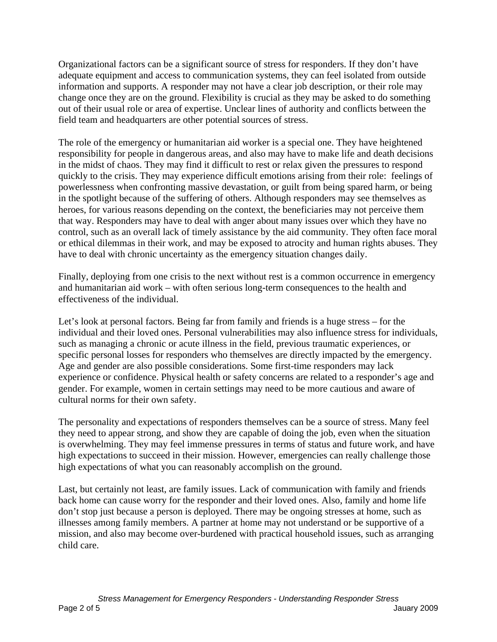Organizational factors can be a significant source of stress for responders. If they don't have adequate equipment and access to communication systems, they can feel isolated from outside information and supports. A responder may not have a clear job description, or their role may change once they are on the ground. Flexibility is crucial as they may be asked to do something out of their usual role or area of expertise. Unclear lines of authority and conflicts between the field team and headquarters are other potential sources of stress.

The role of the emergency or humanitarian aid worker is a special one. They have heightened responsibility for people in dangerous areas, and also may have to make life and death decisions in the midst of chaos. They may find it difficult to rest or relax given the pressures to respond quickly to the crisis. They may experience difficult emotions arising from their role: feelings of powerlessness when confronting massive devastation, or guilt from being spared harm, or being in the spotlight because of the suffering of others. Although responders may see themselves as heroes, for various reasons depending on the context, the beneficiaries may not perceive them that way. Responders may have to deal with anger about many issues over which they have no control, such as an overall lack of timely assistance by the aid community. They often face moral or ethical dilemmas in their work, and may be exposed to atrocity and human rights abuses. They have to deal with chronic uncertainty as the emergency situation changes daily.

Finally, deploying from one crisis to the next without rest is a common occurrence in emergency and humanitarian aid work – with often serious long-term consequences to the health and effectiveness of the individual.

Let's look at personal factors. Being far from family and friends is a huge stress – for the individual and their loved ones. Personal vulnerabilities may also influence stress for individuals, such as managing a chronic or acute illness in the field, previous traumatic experiences, or specific personal losses for responders who themselves are directly impacted by the emergency. Age and gender are also possible considerations. Some first-time responders may lack experience or confidence. Physical health or safety concerns are related to a responder's age and gender. For example, women in certain settings may need to be more cautious and aware of cultural norms for their own safety.

The personality and expectations of responders themselves can be a source of stress. Many feel they need to appear strong, and show they are capable of doing the job, even when the situation is overwhelming. They may feel immense pressures in terms of status and future work, and have high expectations to succeed in their mission. However, emergencies can really challenge those high expectations of what you can reasonably accomplish on the ground.

Last, but certainly not least, are family issues. Lack of communication with family and friends back home can cause worry for the responder and their loved ones. Also, family and home life don't stop just because a person is deployed. There may be ongoing stresses at home, such as illnesses among family members. A partner at home may not understand or be supportive of a mission, and also may become over-burdened with practical household issues, such as arranging child care.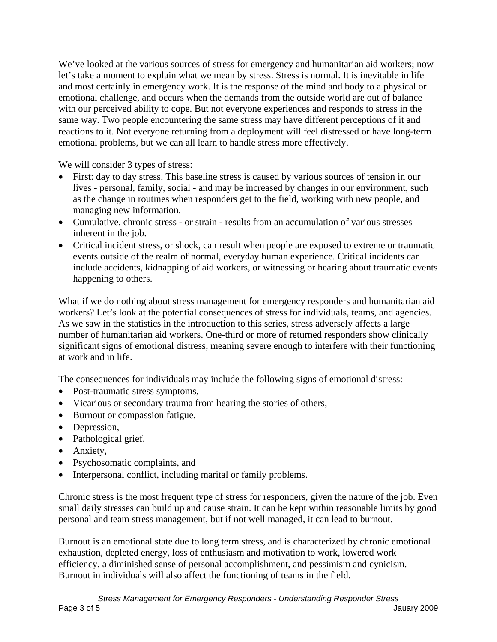We've looked at the various sources of stress for emergency and humanitarian aid workers; now let's take a moment to explain what we mean by stress. Stress is normal. It is inevitable in life and most certainly in emergency work. It is the response of the mind and body to a physical or emotional challenge, and occurs when the demands from the outside world are out of balance with our perceived ability to cope. But not everyone experiences and responds to stress in the same way. Two people encountering the same stress may have different perceptions of it and reactions to it. Not everyone returning from a deployment will feel distressed or have long-term emotional problems, but we can all learn to handle stress more effectively.

We will consider 3 types of stress:

- First: day to day stress. This baseline stress is caused by various sources of tension in our lives - personal, family, social - and may be increased by changes in our environment, such as the change in routines when responders get to the field, working with new people, and managing new information.
- Cumulative, chronic stress or strain results from an accumulation of various stresses inherent in the job.
- Critical incident stress, or shock, can result when people are exposed to extreme or traumatic events outside of the realm of normal, everyday human experience. Critical incidents can include accidents, kidnapping of aid workers, or witnessing or hearing about traumatic events happening to others.

What if we do nothing about stress management for emergency responders and humanitarian aid workers? Let's look at the potential consequences of stress for individuals, teams, and agencies. As we saw in the statistics in the introduction to this series, stress adversely affects a large number of humanitarian aid workers. One-third or more of returned responders show clinically significant signs of emotional distress, meaning severe enough to interfere with their functioning at work and in life.

The consequences for individuals may include the following signs of emotional distress:

- Post-traumatic stress symptoms,
- Vicarious or secondary trauma from hearing the stories of others,
- Burnout or compassion fatigue,
- Depression,
- Pathological grief,
- Anxiety,
- Psychosomatic complaints, and
- Interpersonal conflict, including marital or family problems.

Chronic stress is the most frequent type of stress for responders, given the nature of the job. Even small daily stresses can build up and cause strain. It can be kept within reasonable limits by good personal and team stress management, but if not well managed, it can lead to burnout.

Burnout is an emotional state due to long term stress, and is characterized by chronic emotional exhaustion, depleted energy, loss of enthusiasm and motivation to work, lowered work efficiency, a diminished sense of personal accomplishment, and pessimism and cynicism. Burnout in individuals will also affect the functioning of teams in the field.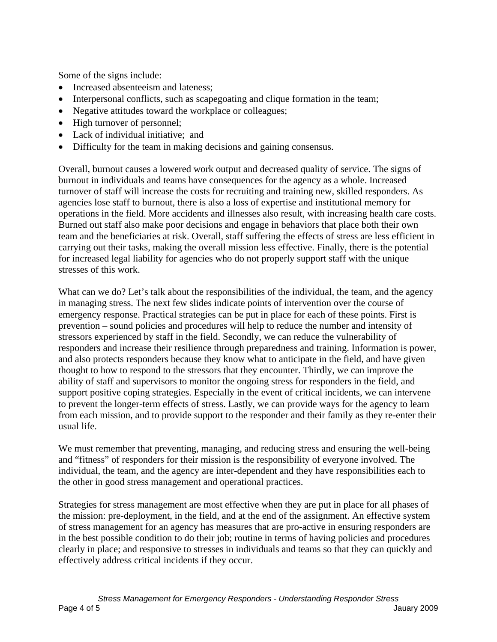Some of the signs include:

- Increased absenteeism and lateness;
- Interpersonal conflicts, such as scapegoating and clique formation in the team;
- Negative attitudes toward the workplace or colleagues;
- High turnover of personnel;
- Lack of individual initiative; and
- Difficulty for the team in making decisions and gaining consensus.

Overall, burnout causes a lowered work output and decreased quality of service. The signs of burnout in individuals and teams have consequences for the agency as a whole. Increased turnover of staff will increase the costs for recruiting and training new, skilled responders. As agencies lose staff to burnout, there is also a loss of expertise and institutional memory for operations in the field. More accidents and illnesses also result, with increasing health care costs. Burned out staff also make poor decisions and engage in behaviors that place both their own team and the beneficiaries at risk. Overall, staff suffering the effects of stress are less efficient in carrying out their tasks, making the overall mission less effective. Finally, there is the potential for increased legal liability for agencies who do not properly support staff with the unique stresses of this work.

What can we do? Let's talk about the responsibilities of the individual, the team, and the agency in managing stress. The next few slides indicate points of intervention over the course of emergency response. Practical strategies can be put in place for each of these points. First is prevention – sound policies and procedures will help to reduce the number and intensity of stressors experienced by staff in the field. Secondly, we can reduce the vulnerability of responders and increase their resilience through preparedness and training. Information is power, and also protects responders because they know what to anticipate in the field, and have given thought to how to respond to the stressors that they encounter. Thirdly, we can improve the ability of staff and supervisors to monitor the ongoing stress for responders in the field, and support positive coping strategies. Especially in the event of critical incidents, we can intervene to prevent the longer-term effects of stress. Lastly, we can provide ways for the agency to learn from each mission, and to provide support to the responder and their family as they re-enter their usual life.

We must remember that preventing, managing, and reducing stress and ensuring the well-being and "fitness" of responders for their mission is the responsibility of everyone involved. The individual, the team, and the agency are inter-dependent and they have responsibilities each to the other in good stress management and operational practices.

Strategies for stress management are most effective when they are put in place for all phases of the mission: pre-deployment, in the field, and at the end of the assignment. An effective system of stress management for an agency has measures that are pro-active in ensuring responders are in the best possible condition to do their job; routine in terms of having policies and procedures clearly in place; and responsive to stresses in individuals and teams so that they can quickly and effectively address critical incidents if they occur.